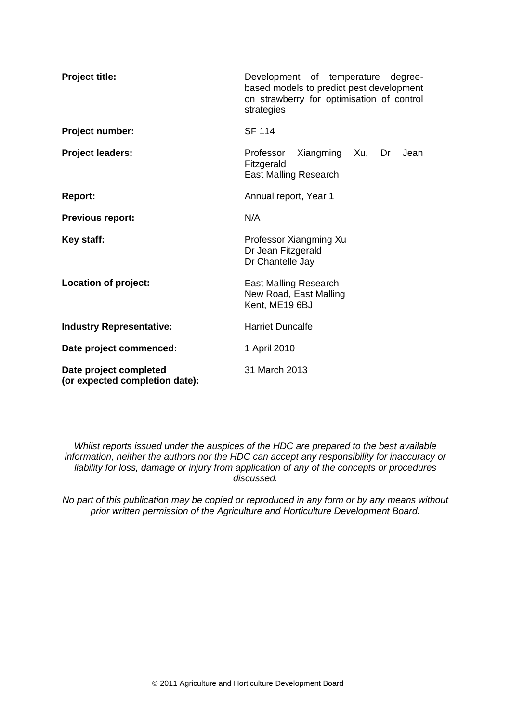| <b>Project title:</b>                                    | Development of temperature degree-<br>based models to predict pest development<br>on strawberry for optimisation of control<br>strategies |  |  |  |  |
|----------------------------------------------------------|-------------------------------------------------------------------------------------------------------------------------------------------|--|--|--|--|
| Project number:                                          | <b>SF 114</b>                                                                                                                             |  |  |  |  |
| <b>Project leaders:</b>                                  | Professor<br>Xiangming Xu,<br>Dr<br>Jean<br>Fitzgerald<br><b>East Malling Research</b>                                                    |  |  |  |  |
| <b>Report:</b>                                           | Annual report, Year 1                                                                                                                     |  |  |  |  |
| <b>Previous report:</b>                                  | N/A                                                                                                                                       |  |  |  |  |
| Key staff:                                               | Professor Xiangming Xu<br>Dr Jean Fitzgerald<br>Dr Chantelle Jay                                                                          |  |  |  |  |
| Location of project:                                     | <b>East Malling Research</b><br>New Road, East Malling<br>Kent, ME19 6BJ                                                                  |  |  |  |  |
| <b>Industry Representative:</b>                          | <b>Harriet Duncalfe</b>                                                                                                                   |  |  |  |  |
| Date project commenced:                                  | 1 April 2010                                                                                                                              |  |  |  |  |
| Date project completed<br>(or expected completion date): | 31 March 2013                                                                                                                             |  |  |  |  |

*Whilst reports issued under the auspices of the HDC are prepared to the best available information, neither the authors nor the HDC can accept any responsibility for inaccuracy or liability for loss, damage or injury from application of any of the concepts or procedures discussed.*

*No part of this publication may be copied or reproduced in any form or by any means without prior written permission of the Agriculture and Horticulture Development Board.*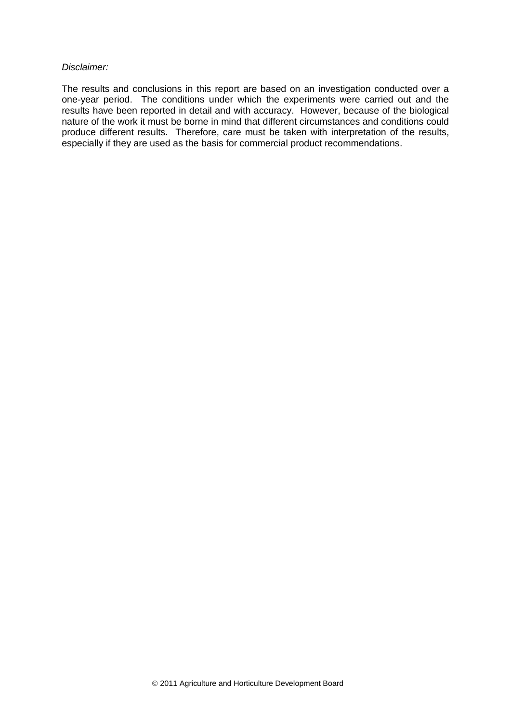#### *Disclaimer:*

The results and conclusions in this report are based on an investigation conducted over a one-year period. The conditions under which the experiments were carried out and the results have been reported in detail and with accuracy. However, because of the biological nature of the work it must be borne in mind that different circumstances and conditions could produce different results. Therefore, care must be taken with interpretation of the results, especially if they are used as the basis for commercial product recommendations.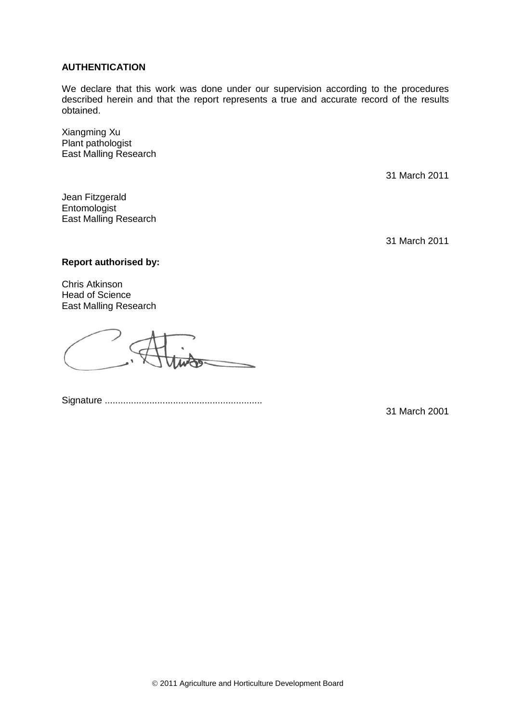### **AUTHENTICATION**

We declare that this work was done under our supervision according to the procedures described herein and that the report represents a true and accurate record of the results obtained.

Xiangming Xu Plant pathologist East Malling Research

31 March 2011

Jean Fitzgerald **Entomologist** East Malling Research

31 March 2011

## **Report authorised by:**

Chris Atkinson Head of Science East Malling Research

Signature ............................................................

31 March 2001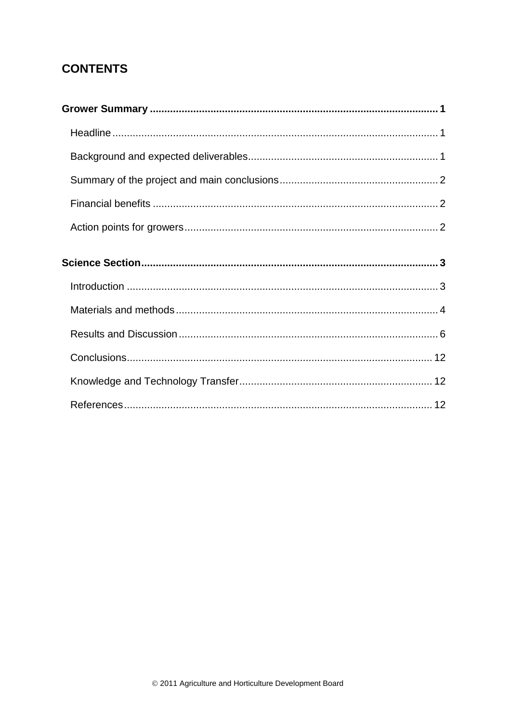# **CONTENTS**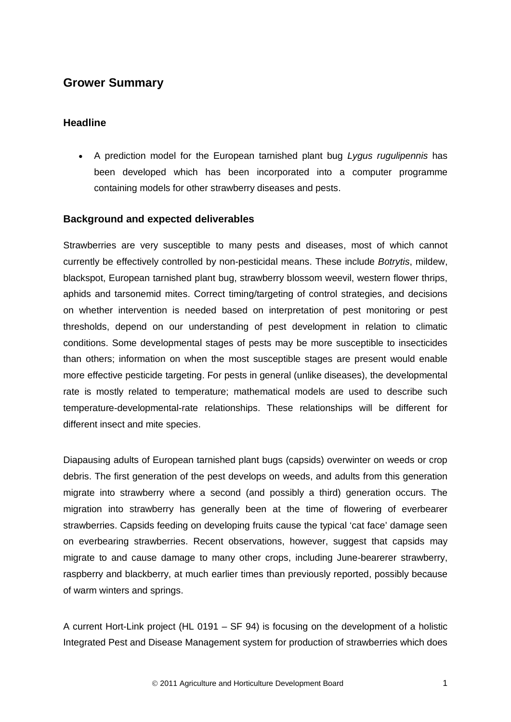## <span id="page-4-0"></span>**Grower Summary**

## <span id="page-4-1"></span>**Headline**

• A prediction model for the European tarnished plant bug *Lygus rugulipennis* has been developed which has been incorporated into a computer programme containing models for other strawberry diseases and pests.

## <span id="page-4-2"></span>**Background and expected deliverables**

Strawberries are very susceptible to many pests and diseases, most of which cannot currently be effectively controlled by non-pesticidal means. These include *Botrytis*, mildew, blackspot, European tarnished plant bug, strawberry blossom weevil, western flower thrips, aphids and tarsonemid mites. Correct timing/targeting of control strategies, and decisions on whether intervention is needed based on interpretation of pest monitoring or pest thresholds, depend on our understanding of pest development in relation to climatic conditions. Some developmental stages of pests may be more susceptible to insecticides than others; information on when the most susceptible stages are present would enable more effective pesticide targeting. For pests in general (unlike diseases), the developmental rate is mostly related to temperature; mathematical models are used to describe such temperature-developmental-rate relationships. These relationships will be different for different insect and mite species.

Diapausing adults of European tarnished plant bugs (capsids) overwinter on weeds or crop debris. The first generation of the pest develops on weeds, and adults from this generation migrate into strawberry where a second (and possibly a third) generation occurs. The migration into strawberry has generally been at the time of flowering of everbearer strawberries. Capsids feeding on developing fruits cause the typical 'cat face' damage seen on everbearing strawberries. Recent observations, however, suggest that capsids may migrate to and cause damage to many other crops, including June-bearerer strawberry, raspberry and blackberry, at much earlier times than previously reported, possibly because of warm winters and springs.

A current Hort-Link project (HL 0191 – SF 94) is focusing on the development of a holistic Integrated Pest and Disease Management system for production of strawberries which does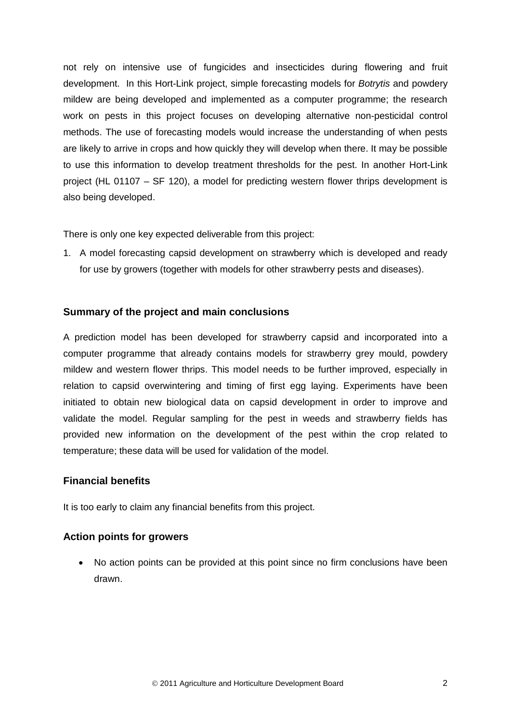not rely on intensive use of fungicides and insecticides during flowering and fruit development. In this Hort-Link project, simple forecasting models for *Botrytis* and powdery mildew are being developed and implemented as a computer programme; the research work on pests in this project focuses on developing alternative non-pesticidal control methods. The use of forecasting models would increase the understanding of when pests are likely to arrive in crops and how quickly they will develop when there. It may be possible to use this information to develop treatment thresholds for the pest. In another Hort-Link project (HL 01107 – SF 120), a model for predicting western flower thrips development is also being developed.

There is only one key expected deliverable from this project:

1. A model forecasting capsid development on strawberry which is developed and ready for use by growers (together with models for other strawberry pests and diseases).

## <span id="page-5-0"></span>**Summary of the project and main conclusions**

A prediction model has been developed for strawberry capsid and incorporated into a computer programme that already contains models for strawberry grey mould, powdery mildew and western flower thrips. This model needs to be further improved, especially in relation to capsid overwintering and timing of first egg laying. Experiments have been initiated to obtain new biological data on capsid development in order to improve and validate the model. Regular sampling for the pest in weeds and strawberry fields has provided new information on the development of the pest within the crop related to temperature; these data will be used for validation of the model.

## <span id="page-5-1"></span>**Financial benefits**

It is too early to claim any financial benefits from this project.

## <span id="page-5-2"></span>**Action points for growers**

• No action points can be provided at this point since no firm conclusions have been drawn.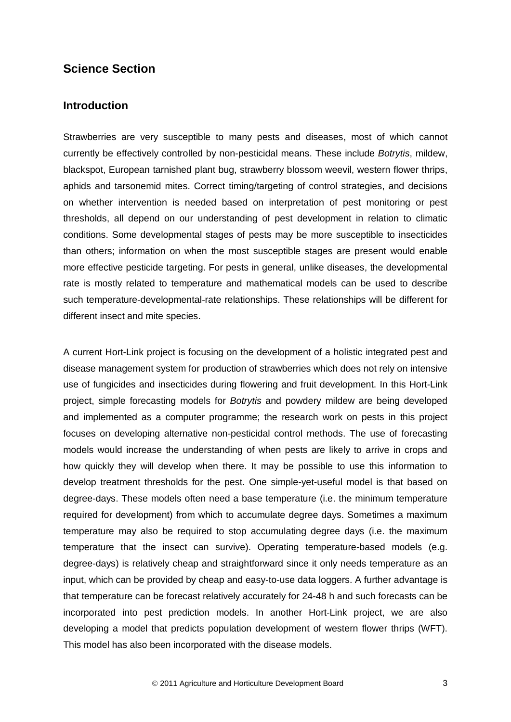## <span id="page-6-0"></span>**Science Section**

## <span id="page-6-1"></span>**Introduction**

Strawberries are very susceptible to many pests and diseases, most of which cannot currently be effectively controlled by non-pesticidal means. These include *Botrytis*, mildew, blackspot, European tarnished plant bug, strawberry blossom weevil, western flower thrips, aphids and tarsonemid mites. Correct timing/targeting of control strategies, and decisions on whether intervention is needed based on interpretation of pest monitoring or pest thresholds, all depend on our understanding of pest development in relation to climatic conditions. Some developmental stages of pests may be more susceptible to insecticides than others; information on when the most susceptible stages are present would enable more effective pesticide targeting. For pests in general, unlike diseases, the developmental rate is mostly related to temperature and mathematical models can be used to describe such temperature-developmental-rate relationships. These relationships will be different for different insect and mite species.

A current Hort-Link project is focusing on the development of a holistic integrated pest and disease management system for production of strawberries which does not rely on intensive use of fungicides and insecticides during flowering and fruit development. In this Hort-Link project, simple forecasting models for *Botrytis* and powdery mildew are being developed and implemented as a computer programme; the research work on pests in this project focuses on developing alternative non-pesticidal control methods. The use of forecasting models would increase the understanding of when pests are likely to arrive in crops and how quickly they will develop when there. It may be possible to use this information to develop treatment thresholds for the pest. One simple-yet-useful model is that based on degree-days. These models often need a base temperature (i.e. the minimum temperature required for development) from which to accumulate degree days. Sometimes a maximum temperature may also be required to stop accumulating degree days (i.e. the maximum temperature that the insect can survive). Operating temperature-based models (e.g. degree-days) is relatively cheap and straightforward since it only needs temperature as an input, which can be provided by cheap and easy-to-use data loggers. A further advantage is that temperature can be forecast relatively accurately for 24-48 h and such forecasts can be incorporated into pest prediction models. In another Hort-Link project, we are also developing a model that predicts population development of western flower thrips (WFT). This model has also been incorporated with the disease models.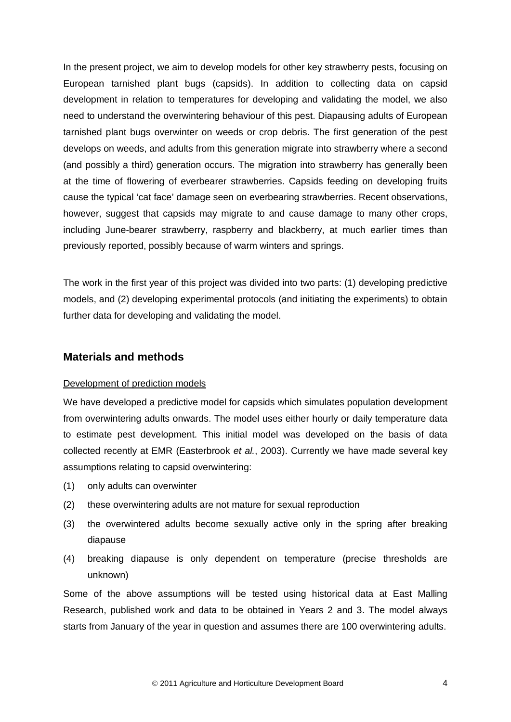In the present project, we aim to develop models for other key strawberry pests, focusing on European tarnished plant bugs (capsids). In addition to collecting data on capsid development in relation to temperatures for developing and validating the model, we also need to understand the overwintering behaviour of this pest. Diapausing adults of European tarnished plant bugs overwinter on weeds or crop debris. The first generation of the pest develops on weeds, and adults from this generation migrate into strawberry where a second (and possibly a third) generation occurs. The migration into strawberry has generally been at the time of flowering of everbearer strawberries. Capsids feeding on developing fruits cause the typical 'cat face' damage seen on everbearing strawberries. Recent observations, however, suggest that capsids may migrate to and cause damage to many other crops, including June-bearer strawberry, raspberry and blackberry, at much earlier times than previously reported, possibly because of warm winters and springs.

The work in the first year of this project was divided into two parts: (1) developing predictive models, and (2) developing experimental protocols (and initiating the experiments) to obtain further data for developing and validating the model.

## <span id="page-7-0"></span>**Materials and methods**

#### Development of prediction models

We have developed a predictive model for capsids which simulates population development from overwintering adults onwards. The model uses either hourly or daily temperature data to estimate pest development. This initial model was developed on the basis of data collected recently at EMR (Easterbrook *et al.*, 2003). Currently we have made several key assumptions relating to capsid overwintering:

- (1) only adults can overwinter
- (2) these overwintering adults are not mature for sexual reproduction
- (3) the overwintered adults become sexually active only in the spring after breaking diapause
- (4) breaking diapause is only dependent on temperature (precise thresholds are unknown)

Some of the above assumptions will be tested using historical data at East Malling Research, published work and data to be obtained in Years 2 and 3. The model always starts from January of the year in question and assumes there are 100 overwintering adults.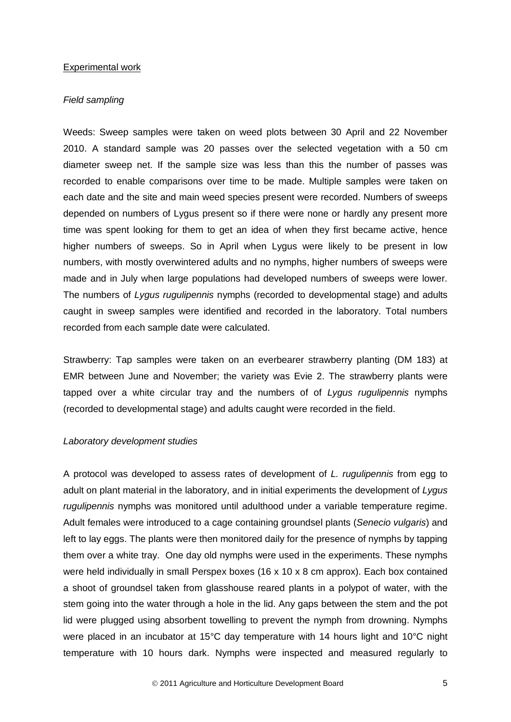#### Experimental work

#### *Field sampling*

Weeds: Sweep samples were taken on weed plots between 30 April and 22 November 2010. A standard sample was 20 passes over the selected vegetation with a 50 cm diameter sweep net. If the sample size was less than this the number of passes was recorded to enable comparisons over time to be made. Multiple samples were taken on each date and the site and main weed species present were recorded. Numbers of sweeps depended on numbers of Lygus present so if there were none or hardly any present more time was spent looking for them to get an idea of when they first became active, hence higher numbers of sweeps. So in April when Lygus were likely to be present in low numbers, with mostly overwintered adults and no nymphs, higher numbers of sweeps were made and in July when large populations had developed numbers of sweeps were lower. The numbers of *Lygus rugulipennis* nymphs (recorded to developmental stage) and adults caught in sweep samples were identified and recorded in the laboratory. Total numbers recorded from each sample date were calculated.

Strawberry: Tap samples were taken on an everbearer strawberry planting (DM 183) at EMR between June and November; the variety was Evie 2. The strawberry plants were tapped over a white circular tray and the numbers of of *Lygus rugulipennis* nymphs (recorded to developmental stage) and adults caught were recorded in the field.

#### *Laboratory development studies*

A protocol was developed to assess rates of development of *L. rugulipennis* from egg to adult on plant material in the laboratory, and in initial experiments the development of *Lygus rugulipennis* nymphs was monitored until adulthood under a variable temperature regime. Adult females were introduced to a cage containing groundsel plants (*Senecio vulgaris*) and left to lay eggs. The plants were then monitored daily for the presence of nymphs by tapping them over a white tray. One day old nymphs were used in the experiments. These nymphs were held individually in small Perspex boxes (16 x 10 x 8 cm approx). Each box contained a shoot of groundsel taken from glasshouse reared plants in a polypot of water, with the stem going into the water through a hole in the lid. Any gaps between the stem and the pot lid were plugged using absorbent towelling to prevent the nymph from drowning. Nymphs were placed in an incubator at 15°C day temperature with 14 hours light and 10°C night temperature with 10 hours dark. Nymphs were inspected and measured regularly to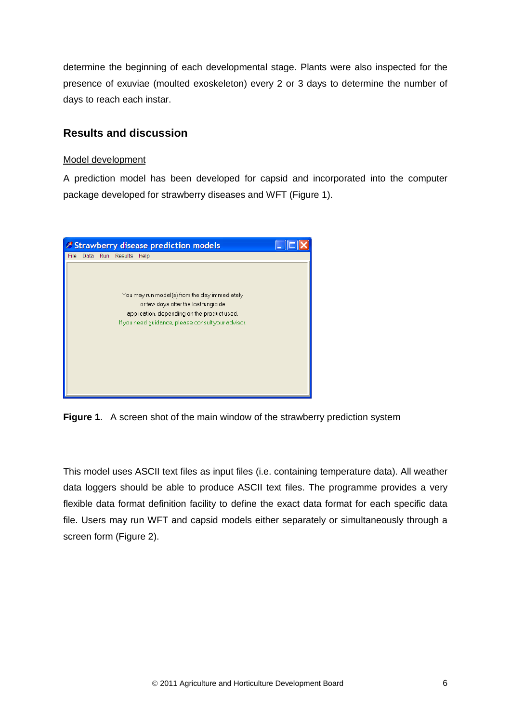determine the beginning of each developmental stage. Plants were also inspected for the presence of exuviae (moulted exoskeleton) every 2 or 3 days to determine the number of days to reach each instar.

## <span id="page-9-0"></span>**Results and discussion**

## Model development

A prediction model has been developed for capsid and incorporated into the computer package developed for strawberry diseases and WFT (Figure 1).



**Figure 1**. A screen shot of the main window of the strawberry prediction system

This model uses ASCII text files as input files (i.e. containing temperature data). All weather data loggers should be able to produce ASCII text files. The programme provides a very flexible data format definition facility to define the exact data format for each specific data file. Users may run WFT and capsid models either separately or simultaneously through a screen form (Figure 2).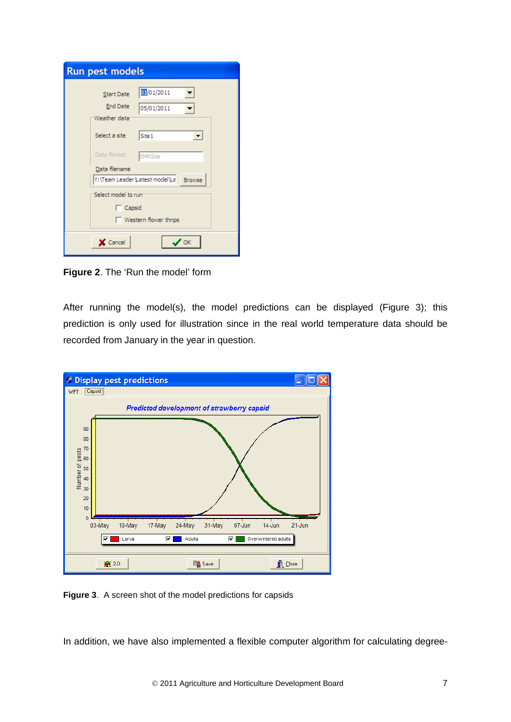| <b>Run pest models</b>                                                                                                                   |                                                                                              |  |  |  |
|------------------------------------------------------------------------------------------------------------------------------------------|----------------------------------------------------------------------------------------------|--|--|--|
| <b>Start Date</b><br><b>End Date</b><br>Weather data:<br>Select a site<br>Data format<br>Data filename<br>Y:\Team Leader\Latest model\La | 01/01/2011<br>05/01/2011<br>Site 1<br>$\vert \cdot \vert$<br><b>EMRSite</b><br><b>Browse</b> |  |  |  |
| Select model to run<br>$\Box$ Capsid<br>Western flower thrips                                                                            |                                                                                              |  |  |  |
| X Cancel                                                                                                                                 | OK                                                                                           |  |  |  |

**Figure 2**. The 'Run the model' form

After running the model(s), the model predictions can be displayed (Figure 3); this prediction is only used for illustration since in the real world temperature data should be recorded from January in the year in question.



**Figure 3**. A screen shot of the model predictions for capsids

In addition, we have also implemented a flexible computer algorithm for calculating degree-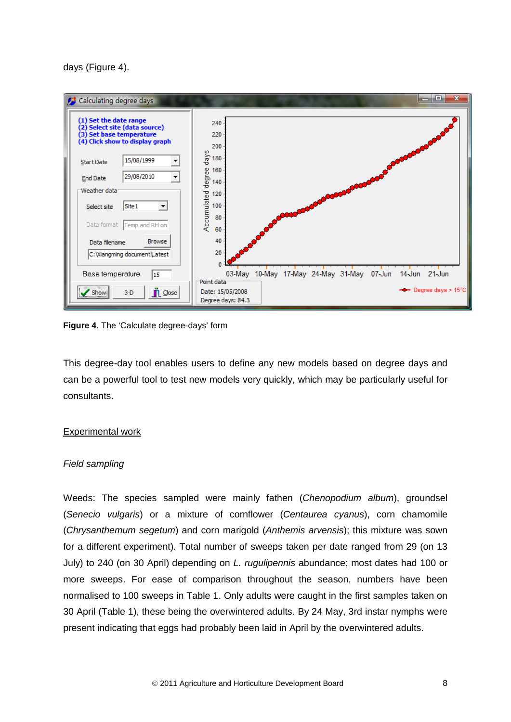days (Figure 4).



**Figure 4**. The 'Calculate degree-days' form

This degree-day tool enables users to define any new models based on degree days and can be a powerful tool to test new models very quickly, which may be particularly useful for consultants.

## Experimental work

## *Field sampling*

Weeds: The species sampled were mainly fathen (*Chenopodium album*), groundsel (*Senecio vulgaris*) or a mixture of cornflower (*Centaurea cyanus*), corn chamomile (*Chrysanthemum segetum*) and corn marigold (*Anthemis arvensis*); this mixture was sown for a different experiment). Total number of sweeps taken per date ranged from 29 (on 13 July) to 240 (on 30 April) depending on *L. rugulipennis* abundance; most dates had 100 or more sweeps. For ease of comparison throughout the season, numbers have been normalised to 100 sweeps in Table 1. Only adults were caught in the first samples taken on 30 April (Table 1), these being the overwintered adults. By 24 May, 3rd instar nymphs were present indicating that eggs had probably been laid in April by the overwintered adults.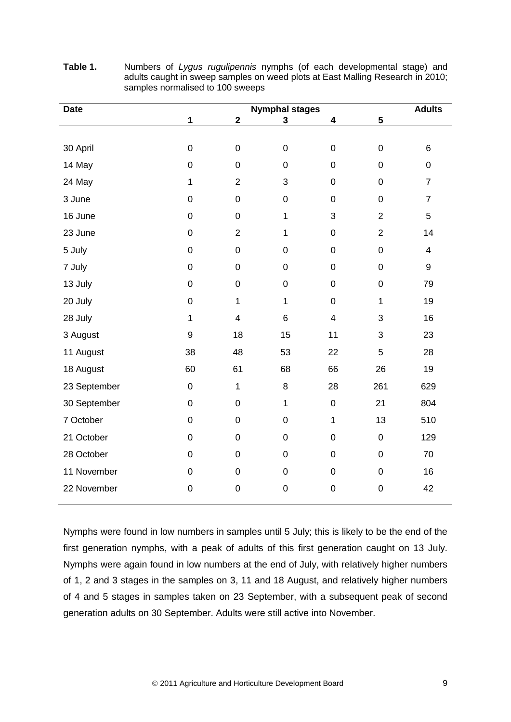| <b>Date</b>  | <b>Nymphal stages</b> |                         |              |                         | <b>Adults</b>  |                         |
|--------------|-----------------------|-------------------------|--------------|-------------------------|----------------|-------------------------|
|              | $\mathbf{1}$          | $\mathbf{2}$            | 3            | 4                       | 5              |                         |
|              |                       |                         |              |                         |                |                         |
| 30 April     | $\mathbf 0$           | $\mathbf 0$             | $\pmb{0}$    | $\boldsymbol{0}$        | $\mathsf 0$    | 6                       |
| 14 May       | $\mathbf 0$           | $\mathsf 0$             | $\mathbf 0$  | $\boldsymbol{0}$        | 0              | $\mathsf 0$             |
| 24 May       | $\mathbf{1}$          | $\overline{2}$          | 3            | $\pmb{0}$               | 0              | $\overline{7}$          |
| 3 June       | $\mathbf 0$           | $\mathsf 0$             | $\pmb{0}$    | $\boldsymbol{0}$        | $\mathbf 0$    | $\overline{7}$          |
| 16 June      | $\mathsf 0$           | $\mathsf 0$             | 1            | 3                       | $\overline{2}$ | 5                       |
| 23 June      | $\mathbf 0$           | $\overline{2}$          | $\mathbf{1}$ | $\mathbf 0$             | $\overline{2}$ | 14                      |
| 5 July       | $\mathsf 0$           | $\mathsf 0$             | $\pmb{0}$    | $\mathsf 0$             | $\mathbf 0$    | $\overline{\mathbf{4}}$ |
| 7 July       | 0                     | 0                       | $\mathbf 0$  | $\pmb{0}$               | 0              | 9                       |
| 13 July      | $\overline{0}$        | $\mathsf 0$             | $\mathbf 0$  | $\boldsymbol{0}$        | $\mathbf 0$    | 79                      |
| 20 July      | $\mathbf 0$           | $\mathbf{1}$            | 1            | $\boldsymbol{0}$        | $\mathbf{1}$   | 19                      |
| 28 July      | $\mathbf 1$           | $\overline{\mathbf{4}}$ | 6            | $\overline{\mathbf{4}}$ | 3              | 16                      |
| 3 August     | 9                     | 18                      | 15           | 11                      | 3              | 23                      |
| 11 August    | 38                    | 48                      | 53           | 22                      | 5              | 28                      |
| 18 August    | 60                    | 61                      | 68           | 66                      | 26             | 19                      |
| 23 September | $\boldsymbol{0}$      | $\mathbf{1}$            | 8            | 28                      | 261            | 629                     |
| 30 September | $\mathbf 0$           | $\mathsf 0$             | $\mathbf{1}$ | $\boldsymbol{0}$        | 21             | 804                     |
| 7 October    | $\mathsf 0$           | $\mathsf 0$             | $\mathbf 0$  | 1                       | 13             | 510                     |
| 21 October   | $\boldsymbol{0}$      | 0                       | $\pmb{0}$    | 0                       | $\pmb{0}$      | 129                     |
| 28 October   | $\mathbf 0$           | $\mathsf 0$             | $\mathbf 0$  | $\mathsf 0$             | $\mathbf 0$    | 70                      |
| 11 November  | $\mathbf 0$           | $\mathbf 0$             | $\pmb{0}$    | $\mathbf 0$             | $\mathsf 0$    | 16                      |
| 22 November  | $\mathbf 0$           | $\mathbf 0$             | $\mathbf 0$  | $\mathbf 0$             | $\mathbf 0$    | 42                      |

**Table 1.** Numbers of *Lygus rugulipennis* nymphs (of each developmental stage) and adults caught in sweep samples on weed plots at East Malling Research in 2010; samples normalised to 100 sweeps

Nymphs were found in low numbers in samples until 5 July; this is likely to be the end of the first generation nymphs, with a peak of adults of this first generation caught on 13 July. Nymphs were again found in low numbers at the end of July, with relatively higher numbers of 1, 2 and 3 stages in the samples on 3, 11 and 18 August, and relatively higher numbers of 4 and 5 stages in samples taken on 23 September, with a subsequent peak of second generation adults on 30 September. Adults were still active into November.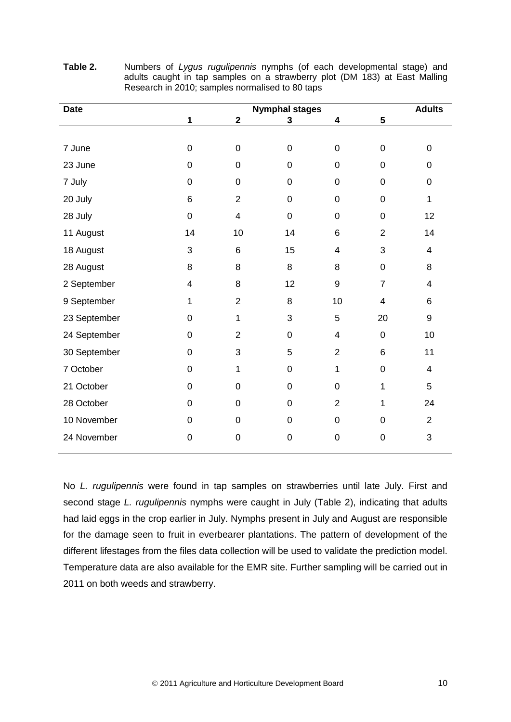| <b>Date</b>  | <b>Nymphal stages</b> |                         |                |                  |                  | <b>Adults</b>    |
|--------------|-----------------------|-------------------------|----------------|------------------|------------------|------------------|
|              | 1                     | $\mathbf 2$             | 3              | 4                | 5                |                  |
|              |                       |                         |                |                  |                  |                  |
| 7 June       | $\pmb{0}$             | $\mathbf 0$             | $\pmb{0}$      | $\boldsymbol{0}$ | $\pmb{0}$        | 0                |
| 23 June      | $\pmb{0}$             | 0                       | $\pmb{0}$      | $\boldsymbol{0}$ | $\mathbf 0$      | $\boldsymbol{0}$ |
| 7 July       | $\pmb{0}$             | 0                       | 0              | $\mathbf 0$      | $\mathbf 0$      | 0                |
| 20 July      | 6                     | $\overline{2}$          | $\overline{0}$ | $\overline{0}$   | $\overline{0}$   | 1                |
| 28 July      | $\pmb{0}$             | $\overline{\mathbf{4}}$ | $\mathbf 0$    | $\boldsymbol{0}$ | $\mathbf 0$      | 12               |
| 11 August    | 14                    | 10                      | 14             | $6\phantom{1}6$  | $\overline{2}$   | 14               |
| 18 August    | 3                     | $\,6$                   | 15             | 4                | 3                | 4                |
| 28 August    | 8                     | 8                       | 8              | 8                | $\mathbf 0$      | 8                |
| 2 September  | 4                     | 8                       | 12             | 9                | $\overline{7}$   | 4                |
| 9 September  | 1                     | $\overline{2}$          | 8              | 10               | 4                | 6                |
| 23 September | $\pmb{0}$             | 1                       | 3              | 5                | 20               | $\boldsymbol{9}$ |
| 24 September | $\pmb{0}$             | $\overline{2}$          | $\mathbf 0$    | 4                | $\mathbf 0$      | 10               |
| 30 September | $\pmb{0}$             | 3                       | 5              | $\overline{2}$   | 6                | 11               |
| 7 October    | 0                     | 1                       | $\overline{0}$ | 1                | $\mathbf 0$      | 4                |
| 21 October   | $\mathbf 0$           | 0                       | $\overline{0}$ | $\overline{0}$   | 1                | 5                |
| 28 October   | $\pmb{0}$             | 0                       | $\mathbf 0$    | $\overline{2}$   | 1                | 24               |
| 10 November  | 0                     | $\mathbf 0$             | 0              | $\mathbf 0$      | $\mathbf 0$      | $\overline{2}$   |
| 24 November  | $\pmb{0}$             | 0                       | $\pmb{0}$      | $\pmb{0}$        | $\boldsymbol{0}$ | 3                |

**Table 2.** Numbers of *Lygus rugulipennis* nymphs (of each developmental stage) and adults caught in tap samples on a strawberry plot (DM 183) at East Malling Research in 2010; samples normalised to 80 taps

No *L. rugulipennis* were found in tap samples on strawberries until late July. First and second stage *L. rugulipennis* nymphs were caught in July (Table 2), indicating that adults had laid eggs in the crop earlier in July. Nymphs present in July and August are responsible for the damage seen to fruit in everbearer plantations. The pattern of development of the different lifestages from the files data collection will be used to validate the prediction model. Temperature data are also available for the EMR site. Further sampling will be carried out in 2011 on both weeds and strawberry.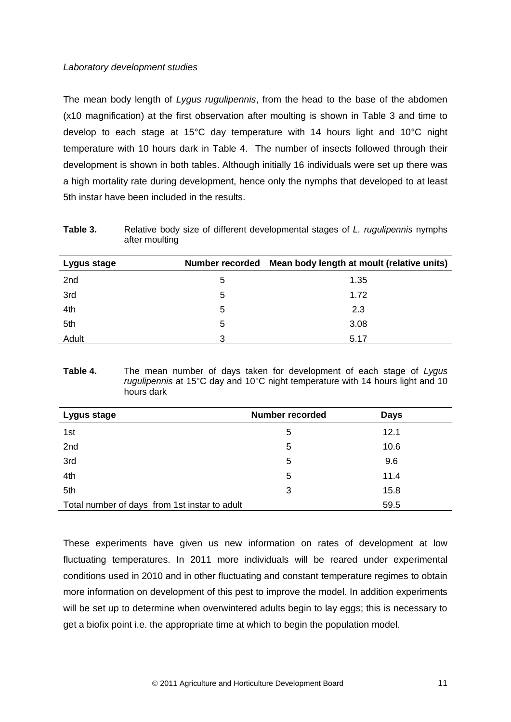## *Laboratory development studies*

The mean body length of *Lygus rugulipennis*, from the head to the base of the abdomen (x10 magnification) at the first observation after moulting is shown in Table 3 and time to develop to each stage at 15°C day temperature with 14 hours light and 10°C night temperature with 10 hours dark in Table 4. The number of insects followed through their development is shown in both tables. Although initially 16 individuals were set up there was a high mortality rate during development, hence only the nymphs that developed to at least 5th instar have been included in the results.

**Table 3.** Relative body size of different developmental stages of *L. rugulipennis* nymphs after moulting

| Lygus stage |   | Number recorded Mean body length at moult (relative units) |
|-------------|---|------------------------------------------------------------|
| 2nd         | 5 | 1.35                                                       |
| 3rd         | 5 | 1.72                                                       |
| 4th         | 5 | 2.3                                                        |
| 5th         | 5 | 3.08                                                       |
| Adult       | 3 | 5.17                                                       |

#### **Table 4.** The mean number of days taken for development of each stage of *Lygus rugulipennis* at 15°C day and 10°C night temperature with 14 hours light and 10 hours dark

| Lygus stage                                   | <b>Number recorded</b> | <b>Days</b> |  |
|-----------------------------------------------|------------------------|-------------|--|
| 1st                                           | 5                      | 12.1        |  |
| 2nd                                           | 5                      | 10.6        |  |
| 3rd                                           | 5                      | 9.6         |  |
| 4th                                           | 5                      | 11.4        |  |
| 5th                                           | 3                      | 15.8        |  |
| Total number of days from 1st instar to adult |                        | 59.5        |  |

<span id="page-14-0"></span>These experiments have given us new information on rates of development at low fluctuating temperatures. In 2011 more individuals will be reared under experimental conditions used in 2010 and in other fluctuating and constant temperature regimes to obtain more information on development of this pest to improve the model. In addition experiments will be set up to determine when overwintered adults begin to lay eggs; this is necessary to get a biofix point i.e. the appropriate time at which to begin the population model.